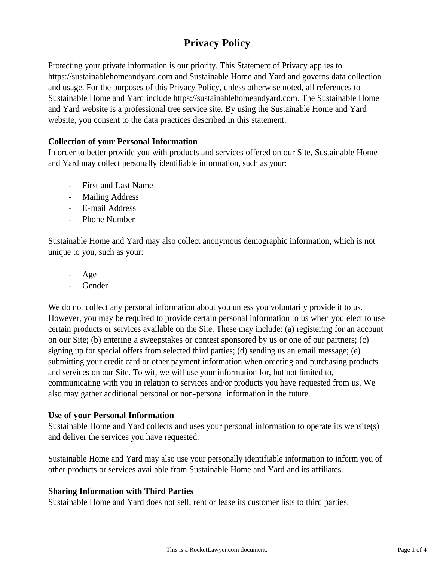# **Privacy Policy**

Protecting your private information is our priority. This Statement of Privacy applies to https://sustainablehomeandyard.com and Sustainable Home and Yard and governs data collection and usage. For the purposes of this Privacy Policy, unless otherwise noted, all references to Sustainable Home and Yard include https://sustainablehomeandyard.com. The Sustainable Home and Yard website is a professional tree service site. By using the Sustainable Home and Yard website, you consent to the data practices described in this statement.

# **Collection of your Personal Information**

In order to better provide you with products and services offered on our Site, Sustainable Home and Yard may collect personally identifiable information, such as your:

- First and Last Name
- Mailing Address
- E-mail Address
- Phone Number

Sustainable Home and Yard may also collect anonymous demographic information, which is not unique to you, such as your:

- Age
- **Gender**

We do not collect any personal information about you unless you voluntarily provide it to us. However, you may be required to provide certain personal information to us when you elect to use certain products or services available on the Site. These may include: (a) registering for an account on our Site; (b) entering a sweepstakes or contest sponsored by us or one of our partners; (c) signing up for special offers from selected third parties; (d) sending us an email message; (e) submitting your credit card or other payment information when ordering and purchasing products and services on our Site. To wit, we will use your information for, but not limited to, communicating with you in relation to services and/or products you have requested from us. We also may gather additional personal or non-personal information in the future.

### **Use of your Personal Information**

Sustainable Home and Yard collects and uses your personal information to operate its website(s) and deliver the services you have requested.

Sustainable Home and Yard may also use your personally identifiable information to inform you of other products or services available from Sustainable Home and Yard and its affiliates.

### **Sharing Information with Third Parties**

Sustainable Home and Yard does not sell, rent or lease its customer lists to third parties.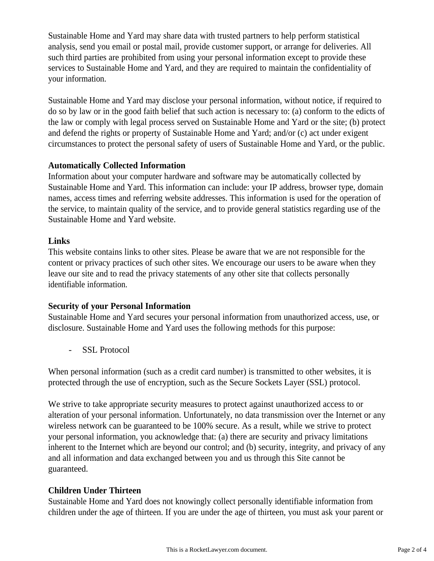Sustainable Home and Yard may share data with trusted partners to help perform statistical analysis, send you email or postal mail, provide customer support, or arrange for deliveries. All such third parties are prohibited from using your personal information except to provide these services to Sustainable Home and Yard, and they are required to maintain the confidentiality of your information.

Sustainable Home and Yard may disclose your personal information, without notice, if required to do so by law or in the good faith belief that such action is necessary to: (a) conform to the edicts of the law or comply with legal process served on Sustainable Home and Yard or the site; (b) protect and defend the rights or property of Sustainable Home and Yard; and/or (c) act under exigent circumstances to protect the personal safety of users of Sustainable Home and Yard, or the public.

## **Automatically Collected Information**

Information about your computer hardware and software may be automatically collected by Sustainable Home and Yard. This information can include: your IP address, browser type, domain names, access times and referring website addresses. This information is used for the operation of the service, to maintain quality of the service, and to provide general statistics regarding use of the Sustainable Home and Yard website.

### **Links**

This website contains links to other sites. Please be aware that we are not responsible for the content or privacy practices of such other sites. We encourage our users to be aware when they leave our site and to read the privacy statements of any other site that collects personally identifiable information.

### **Security of your Personal Information**

Sustainable Home and Yard secures your personal information from unauthorized access, use, or disclosure. Sustainable Home and Yard uses the following methods for this purpose:

- SSL Protocol

When personal information (such as a credit card number) is transmitted to other websites, it is protected through the use of encryption, such as the Secure Sockets Layer (SSL) protocol.

We strive to take appropriate security measures to protect against unauthorized access to or alteration of your personal information. Unfortunately, no data transmission over the Internet or any wireless network can be guaranteed to be 100% secure. As a result, while we strive to protect your personal information, you acknowledge that: (a) there are security and privacy limitations inherent to the Internet which are beyond our control; and (b) security, integrity, and privacy of any and all information and data exchanged between you and us through this Site cannot be guaranteed.

### **Children Under Thirteen**

Sustainable Home and Yard does not knowingly collect personally identifiable information from children under the age of thirteen. If you are under the age of thirteen, you must ask your parent or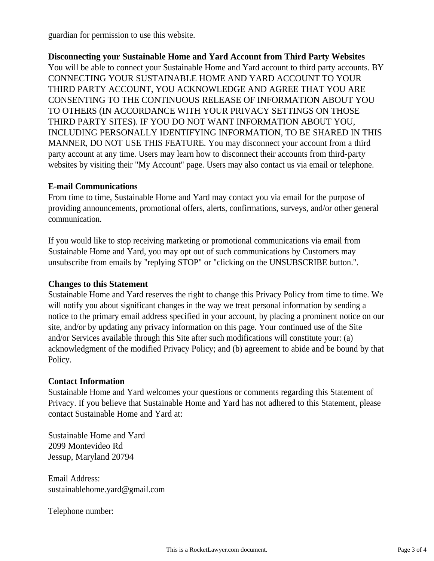guardian for permission to use this website.

**Disconnecting your Sustainable Home and Yard Account from Third Party Websites** You will be able to connect your Sustainable Home and Yard account to third party accounts. BY CONNECTING YOUR SUSTAINABLE HOME AND YARD ACCOUNT TO YOUR THIRD PARTY ACCOUNT, YOU ACKNOWLEDGE AND AGREE THAT YOU ARE CONSENTING TO THE CONTINUOUS RELEASE OF INFORMATION ABOUT YOU TO OTHERS (IN ACCORDANCE WITH YOUR PRIVACY SETTINGS ON THOSE THIRD PARTY SITES). IF YOU DO NOT WANT INFORMATION ABOUT YOU, INCLUDING PERSONALLY IDENTIFYING INFORMATION, TO BE SHARED IN THIS MANNER, DO NOT USE THIS FEATURE. You may disconnect your account from a third party account at any time. Users may learn how to disconnect their accounts from third-party websites by visiting their "My Account" page. Users may also contact us via email or telephone.

### **E-mail Communications**

From time to time, Sustainable Home and Yard may contact you via email for the purpose of providing announcements, promotional offers, alerts, confirmations, surveys, and/or other general communication.

If you would like to stop receiving marketing or promotional communications via email from Sustainable Home and Yard, you may opt out of such communications by Customers may unsubscribe from emails by "replying STOP" or "clicking on the UNSUBSCRIBE button.".

### **Changes to this Statement**

Sustainable Home and Yard reserves the right to change this Privacy Policy from time to time. We will notify you about significant changes in the way we treat personal information by sending a notice to the primary email address specified in your account, by placing a prominent notice on our site, and/or by updating any privacy information on this page. Your continued use of the Site and/or Services available through this Site after such modifications will constitute your: (a) acknowledgment of the modified Privacy Policy; and (b) agreement to abide and be bound by that Policy.

#### **Contact Information**

Sustainable Home and Yard welcomes your questions or comments regarding this Statement of Privacy. If you believe that Sustainable Home and Yard has not adhered to this Statement, please contact Sustainable Home and Yard at:

Sustainable Home and Yard 2099 Montevideo Rd Jessup, Maryland 20794

Email Address: sustainablehome.yard@gmail.com

Telephone number: